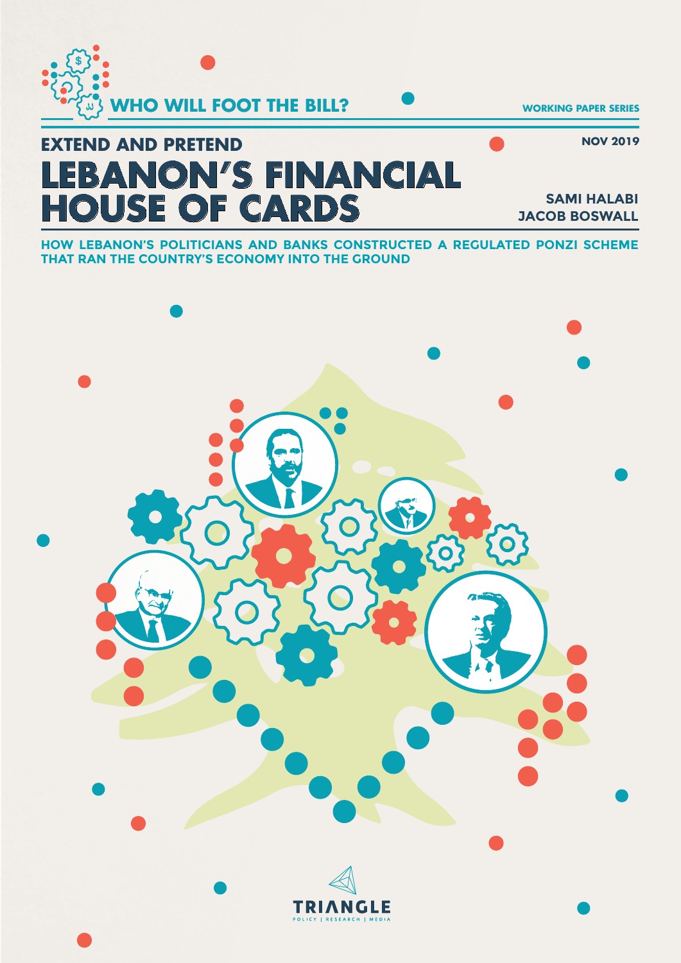

#### **NOV 2019**

# **LEBANON'S FINANCIAL HOUSE OF CARDS EXTEND AND PRETEND**

**SAMI HALABI JACOB BOSWALL**

**HOW LEBANON'S POLITICIANS AND BANKS CONSTRUCTED A REGULATED PONZI SCHEME THAT RAN THE COUNTRY'S ECONOMY INTO THE GROUND**

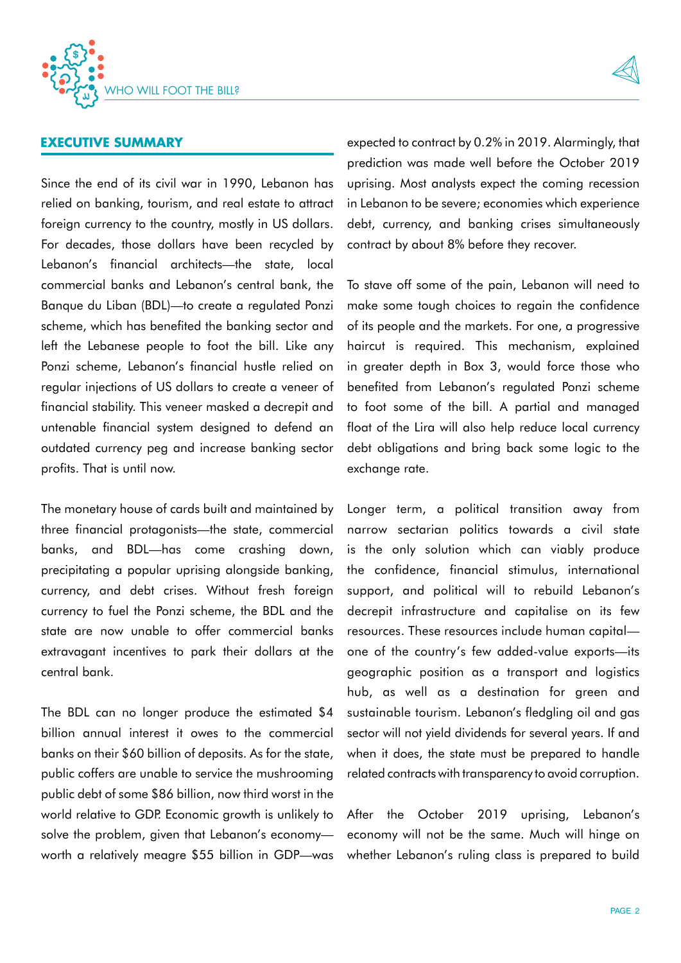



# **EXECUTIVE SUMMARY**

Since the end of its civil war in 1990, Lebanon has relied on banking, tourism, and real estate to attract foreign currency to the country, mostly in US dollars. For decades, those dollars have been recycled by Lebanon's financial architects—the state, local commercial banks and Lebanon's central bank, the Banque du Liban (BDL)—to create a regulated Ponzi scheme, which has benefited the banking sector and left the Lebanese people to foot the bill. Like any Ponzi scheme, Lebanon's financial hustle relied on regular injections of US dollars to create a veneer of financial stability. This veneer masked a decrepit and untenable financial system designed to defend an outdated currency peg and increase banking sector profits. That is until now.

The monetary house of cards built and maintained by three financial protagonists—the state, commercial banks, and BDL—has come crashing down, precipitating a popular uprising alongside banking, currency, and debt crises. Without fresh foreign currency to fuel the Ponzi scheme, the BDL and the state are now unable to offer commercial banks extravagant incentives to park their dollars at the central bank.

The BDL can no longer produce the estimated \$4 billion annual interest it owes to the commercial banks on their \$60 billion of deposits. As for the state, public coffers are unable to service the mushrooming public debt of some \$86 billion, now third worst in the world relative to GDP. Economic growth is unlikely to solve the problem, given that Lebanon's economy worth a relatively meagre \$55 billion in GDP—was expected to contract by 0.2% in 2019. Alarmingly, that prediction was made well before the October 2019 uprising. Most analysts expect the coming recession in Lebanon to be severe; economies which experience debt, currency, and banking crises simultaneously contract by about 8% before they recover.

To stave off some of the pain, Lebanon will need to make some tough choices to regain the confidence of its people and the markets. For one, a progressive haircut is required. This mechanism, explained in greater depth in Box 3, would force those who benefited from Lebanon's regulated Ponzi scheme to foot some of the bill. A partial and managed float of the Lira will also help reduce local currency debt obligations and bring back some logic to the exchange rate.

Longer term, a political transition away from narrow sectarian politics towards a civil state is the only solution which can viably produce the confidence, financial stimulus, international support, and political will to rebuild Lebanon's decrepit infrastructure and capitalise on its few resources. These resources include human capital one of the country's few added-value exports—its geographic position as a transport and logistics hub, as well as a destination for green and sustainable tourism. Lebanon's fledgling oil and gas sector will not yield dividends for several years. If and when it does, the state must be prepared to handle related contracts with transparency to avoid corruption.

After the October 2019 uprising, Lebanon's economy will not be the same. Much will hinge on whether Lebanon's ruling class is prepared to build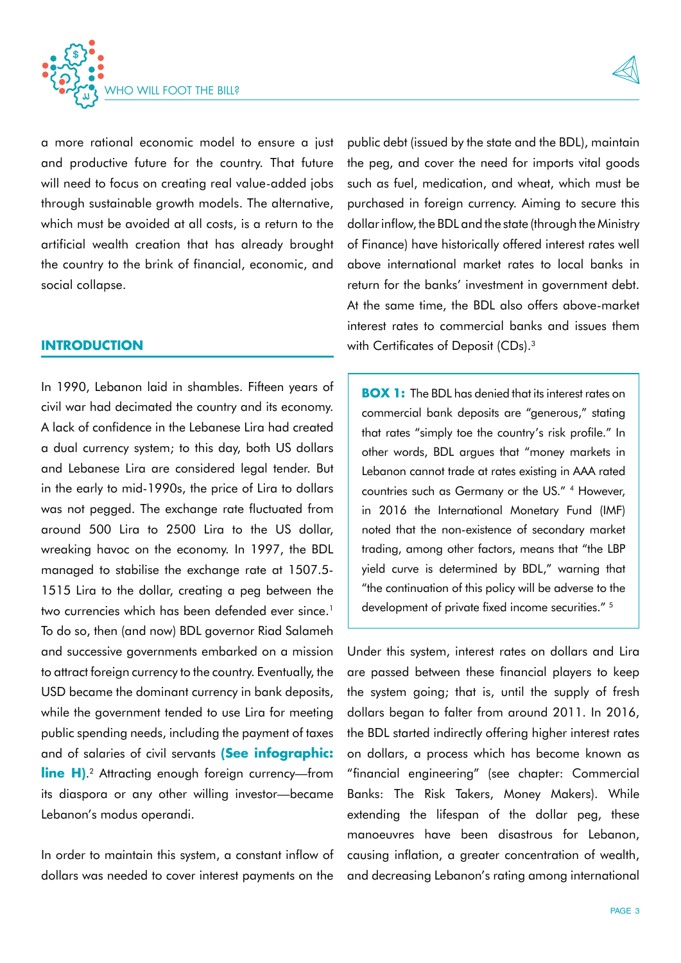

a more rational economic model to ensure a just and productive future for the country. That future will need to focus on creating real value-added jobs through sustainable growth models. The alternative, which must be avoided at all costs, is a return to the artificial wealth creation that has already brought the country to the brink of financial, economic, and social collapse.

#### **INTRODUCTION**

In 1990, Lebanon laid in shambles. Fifteen years of civil war had decimated the country and its economy. A lack of confidence in the Lebanese Lira had created a dual currency system; to this day, both US dollars and Lebanese Lira are considered legal tender. But in the early to mid-1990s, the price of Lira to dollars was not pegged. The exchange rate fluctuated from around 500 Lira to 2500 Lira to the US dollar, wreaking havoc on the economy. In 1997, the BDL managed to stabilise the exchange rate at 1507.5- 1515 Lira to the dollar, creating a peg between the two currencies which has been defended ever since.<sup>1</sup> To do so, then (and now) BDL governor Riad Salameh and successive governments embarked on a mission to attract foreign currency to the country. Eventually, the USD became the dominant currency in bank deposits, while the government tended to use Lira for meeting public spending needs, including the payment of taxes and of salaries of civil servants **(See infographic: line H)**.<sup>2</sup> Attracting enough foreign currency—from its diaspora or any other willing investor—became Lebanon's modus operandi.

In order to maintain this system, a constant inflow of dollars was needed to cover interest payments on the

public debt (issued by the state and the BDL), maintain the peg, and cover the need for imports vital goods such as fuel, medication, and wheat, which must be purchased in foreign currency. Aiming to secure this dollar inflow, the BDL and the state (through the Ministry of Finance) have historically offered interest rates well above international market rates to local banks in return for the banks' investment in government debt. At the same time, the BDL also offers above-market interest rates to commercial banks and issues them with Certificates of Deposit (CDs).<sup>3</sup>

**BOX 1:** The BDL has denied that its interest rates on commercial bank deposits are "generous," stating that rates "simply toe the country's risk profile." In other words, BDL argues that "money markets in Lebanon cannot trade at rates existing in AAA rated countries such as Germany or the US." 4 However, in 2016 the International Monetary Fund (IMF) noted that the non-existence of secondary market trading, among other factors, means that "the LBP yield curve is determined by BDL," warning that "the continuation of this policy will be adverse to the development of private fixed income securities." 5

Under this system, interest rates on dollars and Lira are passed between these financial players to keep the system going; that is, until the supply of fresh dollars began to falter from around 2011. In 2016, the BDL started indirectly offering higher interest rates on dollars, a process which has become known as "financial engineering" (see chapter: Commercial Banks: The Risk Takers, Money Makers). While extending the lifespan of the dollar peg, these manoeuvres have been disastrous for Lebanon, causing inflation, a greater concentration of wealth, and decreasing Lebanon's rating among international

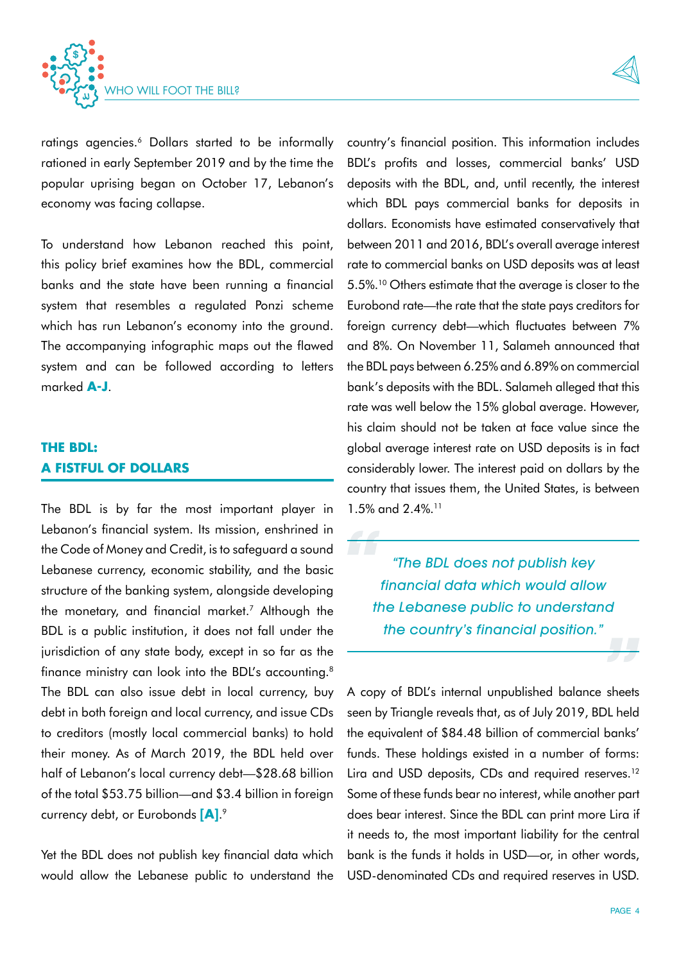

ratings agencies.<sup>6</sup> Dollars started to be informally rationed in early September 2019 and by the time the popular uprising began on October 17, Lebanon's economy was facing collapse.

To understand how Lebanon reached this point, this policy brief examines how the BDL, commercial banks and the state have been running a financial system that resembles a regulated Ponzi scheme which has run Lebanon's economy into the ground. The accompanying infographic maps out the flawed system and can be followed according to letters marked **A-J**.

# **THE BDL: A FISTFUL OF DOLLARS**

The BDL is by far the most important player in Lebanon's financial system. Its mission, enshrined in the Code of Money and Credit, is to safeguard a sound Lebanese currency, economic stability, and the basic structure of the banking system, alongside developing the monetary, and financial market.<sup>7</sup> Although the BDL is a public institution, it does not fall under the jurisdiction of any state body, except in so far as the finance ministry can look into the BDL's accounting.<sup>8</sup> The BDL can also issue debt in local currency, buy debt in both foreign and local currency, and issue CDs to creditors (mostly local commercial banks) to hold their money. As of March 2019, the BDL held over half of Lebanon's local currency debt—\$28.68 billion of the total \$53.75 billion—and \$3.4 billion in foreign currency debt, or Eurobonds **[A]**. 9

Yet the BDL does not publish key financial data which would allow the Lebanese public to understand the country's financial position. This information includes BDL's profits and losses, commercial banks' USD deposits with the BDL, and, until recently, the interest which BDL pays commercial banks for deposits in dollars. Economists have estimated conservatively that between 2011 and 2016, BDL's overall average interest rate to commercial banks on USD deposits was at least 5.5%.10 Others estimate that the average is closer to the Eurobond rate—the rate that the state pays creditors for foreign currency debt—which fluctuates between 7% and 8%. On November 11, Salameh announced that the BDL pays between 6.25% and 6.89% on commercial bank's deposits with the BDL. Salameh alleged that this rate was well below the 15% global average. However, his claim should not be taken at face value since the global average interest rate on USD deposits is in fact considerably lower. The interest paid on dollars by the country that issues them, the United States, is between 1.5% and 2.4%.<sup>11</sup>

"The BDL does not publish key financial data which would allow the Lebanese public to understand the country's financial position."

A copy of BDL's internal unpublished balance sheets seen by Triangle reveals that, as of July 2019, BDL held the equivalent of \$84.48 billion of commercial banks' funds. These holdings existed in a number of forms: Lira and USD deposits, CDs and required reserves.<sup>12</sup> Some of these funds bear no interest, while another part does bear interest. Since the BDL can print more Lira if it needs to, the most important liability for the central bank is the funds it holds in USD—or, in other words, USD-denominated CDs and required reserves in USD.

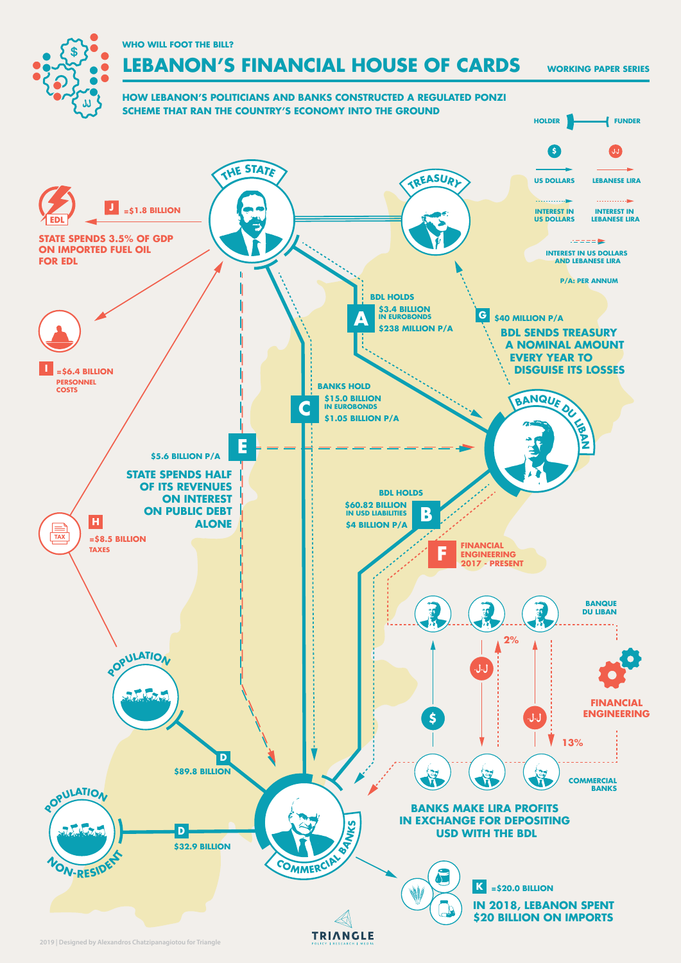**WHO WILL FOOT THE BILL?**

\$

# **LEBANON'S FINANCIAL HOUSE OF CARDS**

**WORKING PAPER SERIES**



**2019 | Designed by Alexandros Chatzipanagiotou for Triangle**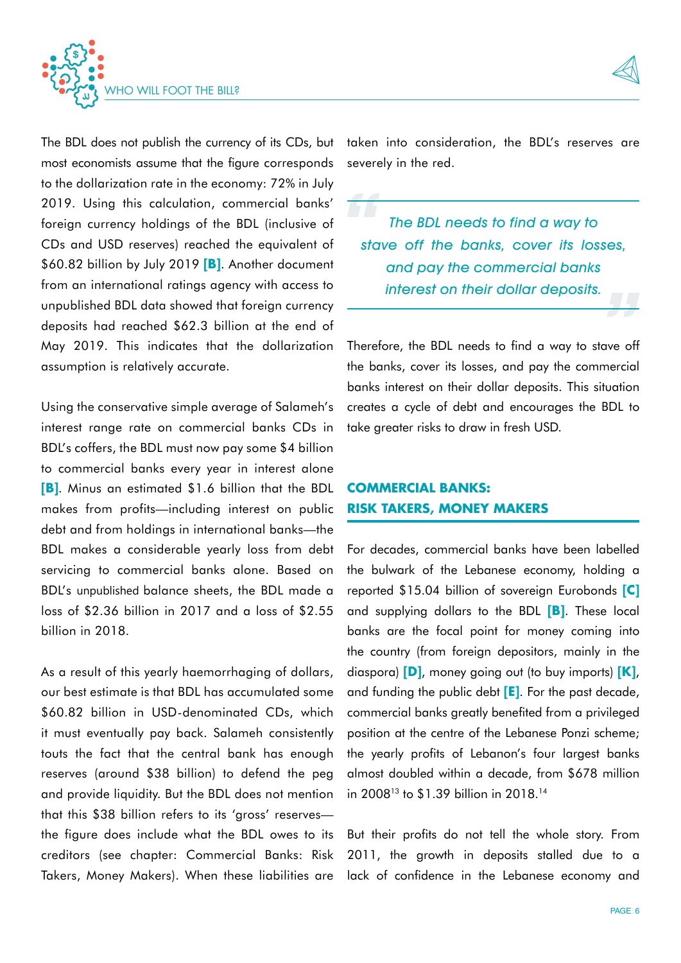



The BDL does not publish the currency of its CDs, but most economists assume that the figure corresponds to the dollarization rate in the economy: 72% in July 2019. Using this calculation, commercial banks' foreign currency holdings of the BDL (inclusive of CDs and USD reserves) reached the equivalent of \$60.82 billion by July 2019 **[B]**. Another document from an international ratings agency with access to unpublished BDL data showed that foreign currency deposits had reached \$62.3 billion at the end of May 2019. This indicates that the dollarization assumption is relatively accurate.

Using the conservative simple average of Salameh's interest range rate on commercial banks CDs in BDL's coffers, the BDL must now pay some \$4 billion to commercial banks every year in interest alone **[B]**. Minus an estimated \$1.6 billion that the BDL makes from profits—including interest on public debt and from holdings in international banks—the BDL makes a considerable yearly loss from debt servicing to commercial banks alone. Based on BDL's unpublished balance sheets, the BDL made a loss of \$2.36 billion in 2017 and a loss of \$2.55 billion in 2018.

As a result of this yearly haemorrhaging of dollars, our best estimate is that BDL has accumulated some \$60.82 billion in USD-denominated CDs, which it must eventually pay back. Salameh consistently touts the fact that the central bank has enough reserves (around \$38 billion) to defend the peg and provide liquidity. But the BDL does not mention that this \$38 billion refers to its 'gross' reserves the figure does include what the BDL owes to its creditors (see chapter: Commercial Banks: Risk Takers, Money Makers). When these liabilities are

taken into consideration, the BDL's reserves are severely in the red.

The BDL needs to find a way to stave off the banks, cover its losses, and pay the commercial banks interest on their dollar deposits.

Therefore, the BDL needs to find a way to stave off the banks, cover its losses, and pay the commercial banks interest on their dollar deposits. This situation creates a cycle of debt and encourages the BDL to take greater risks to draw in fresh USD.

# **COMMERCIAL BANKS: RISK TAKERS, MONEY MAKERS**

For decades, commercial banks have been labelled the bulwark of the Lebanese economy, holding a reported \$15.04 billion of sovereign Eurobonds **[C]** and supplying dollars to the BDL **[B]**. These local banks are the focal point for money coming into the country (from foreign depositors, mainly in the diaspora) **[D]**, money going out (to buy imports) **[K]**, and funding the public debt **[E]**. For the past decade, commercial banks greatly benefited from a privileged position at the centre of the Lebanese Ponzi scheme; the yearly profits of Lebanon's four largest banks almost doubled within a decade, from \$678 million in 2008<sup>13</sup> to \$1.39 billion in 2018.<sup>14</sup>

But their profits do not tell the whole story. From 2011, the growth in deposits stalled due to a lack of confidence in the Lebanese economy and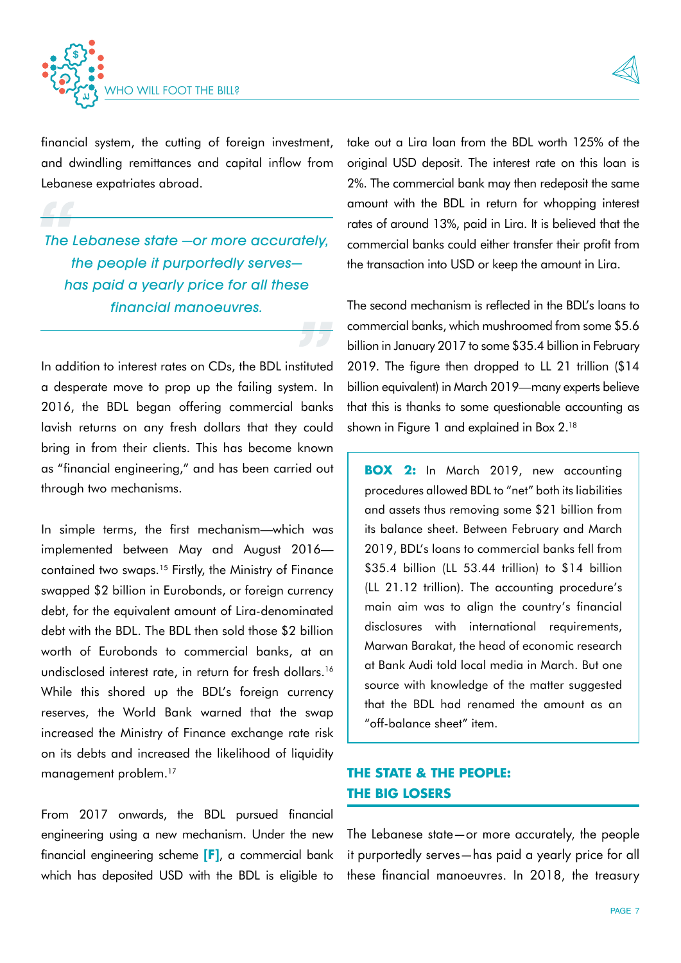



financial system, the cutting of foreign investment, and dwindling remittances and capital inflow from Lebanese expatriates abroad.

The Lebanese state —or more accurately, the people it purportedly serves has paid a yearly price for all these financial manoeuvres.

In addition to interest rates on CDs, the BDL instituted a desperate move to prop up the failing system. In 2016, the BDL began offering commercial banks lavish returns on any fresh dollars that they could bring in from their clients. This has become known as "financial engineering," and has been carried out through two mechanisms.

In simple terms, the first mechanism—which was implemented between May and August 2016 contained two swaps.15 Firstly, the Ministry of Finance swapped \$2 billion in Eurobonds, or foreign currency debt, for the equivalent amount of Lira-denominated debt with the BDL. The BDL then sold those \$2 billion worth of Eurobonds to commercial banks, at an undisclosed interest rate, in return for fresh dollars.<sup>16</sup> While this shored up the BDL's foreign currency reserves, the World Bank warned that the swap increased the Ministry of Finance exchange rate risk on its debts and increased the likelihood of liquidity management problem.<sup>17</sup>

From 2017 onwards, the BDL pursued financial engineering using a new mechanism. Under the new financial engineering scheme **[F]**, a commercial bank which has deposited USD with the BDL is eligible to

take out a Lira loan from the BDL worth 125% of the original USD deposit. The interest rate on this loan is 2%. The commercial bank may then redeposit the same amount with the BDL in return for whopping interest rates of around 13%, paid in Lira. It is believed that the commercial banks could either transfer their profit from the transaction into USD or keep the amount in Lira.

The second mechanism is reflected in the BDL's loans to commercial banks, which mushroomed from some \$5.6 billion in January 2017 to some \$35.4 billion in February 2019. The figure then dropped to LL 21 trillion (\$14 billion equivalent) in March 2019—many experts believe that this is thanks to some questionable accounting as shown in Figure 1 and explained in Box 2.<sup>18</sup>

**BOX 2:** In March 2019, new accounting procedures allowed BDL to "net" both its liabilities and assets thus removing some \$21 billion from its balance sheet. Between February and March 2019, BDL's loans to commercial banks fell from \$35.4 billion (LL 53.44 trillion) to \$14 billion (LL 21.12 trillion). The accounting procedure's main aim was to align the country's financial disclosures with international requirements, Marwan Barakat, the head of economic research at Bank Audi told local media in March. But one source with knowledge of the matter suggested that the BDL had renamed the amount as an "off-balance sheet" item.

# **THE STATE & THE PEOPLE: THE BIG LOSERS**

The Lebanese state—or more accurately, the people it purportedly serves—has paid a yearly price for all these financial manoeuvres. In 2018, the treasury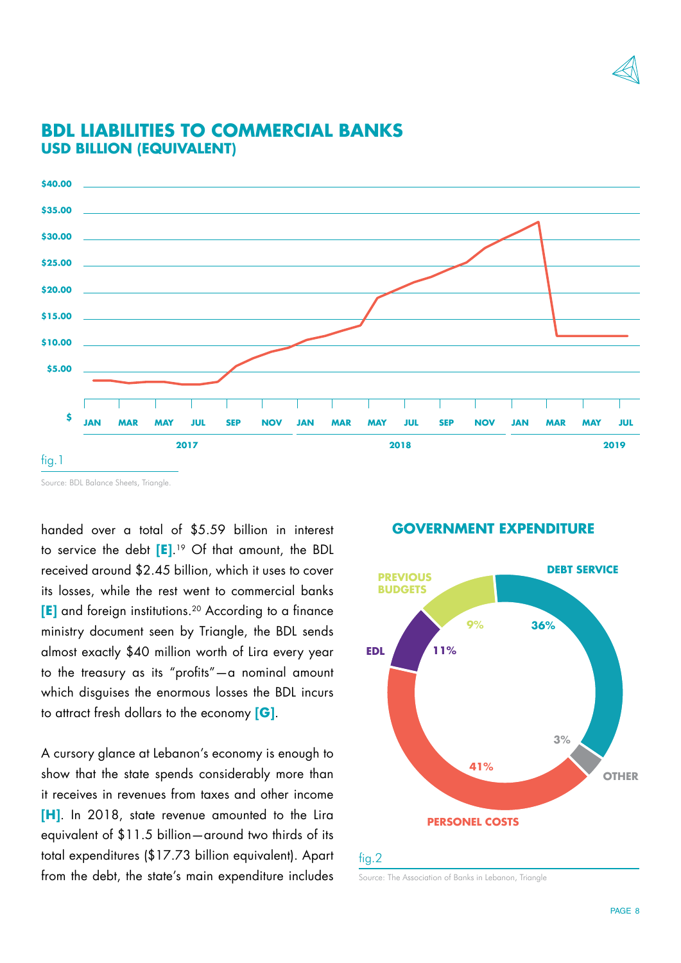



# **BDL LIABILITIES TO COMMERCIAL BANKS USD BILLION (EQUIVALENT)**

handed over a total of \$5.59 billion in interest to service the debt **[E]**. <sup>19</sup> Of that amount, the BDL received around \$2.45 billion, which it uses to cover its losses, while the rest went to commercial banks **[E]** and foreign institutions.<sup>20</sup> According to a finance ministry document seen by Triangle, the BDL sends almost exactly \$40 million worth of Lira every year to the treasury as its "profits"—a nominal amount which disguises the enormous losses the BDL incurs to attract fresh dollars to the economy **[G]**.

A cursory glance at Lebanon's economy is enough to show that the state spends considerably more than it receives in revenues from taxes and other income **[H]**. In 2018, state revenue amounted to the Lira equivalent of \$11.5 billion—around two thirds of its total expenditures (\$17.73 billion equivalent). Apart from the debt, the state's main expenditure includes

#### **GOVERNMENT EXPENDITURE**



## fig.2

Source: The Association of Banks in Lebanon, Triangle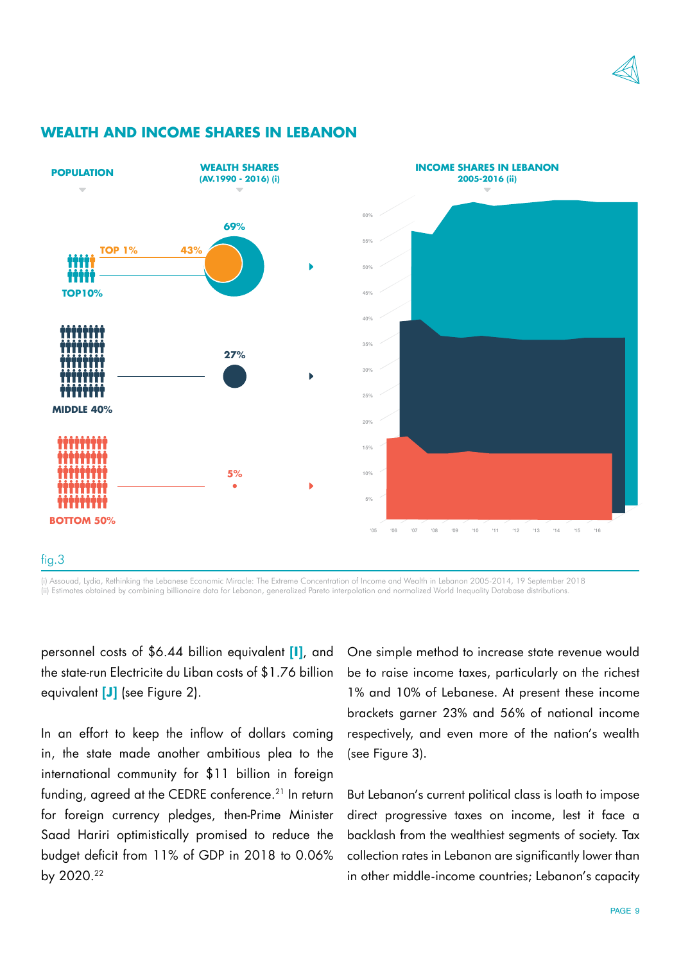



### **WEALTH AND INCOME SHARES IN LEBANON**

fig.3

(i) Assouad, Lydia, Rethinking the Lebanese Economic Miracle: The Extreme Concentration of Income and Wealth in Lebanon 2005-2014, 19 September 2018 (ii) Estimates obtained by combining billionaire data for Lebanon, generalized Pareto interpolation and normalized World Inequality Database distributions.

personnel costs of \$6.44 billion equivalent **[I]**, and the state-run Electricite du Liban costs of \$1.76 billion equivalent **[J]** (see Figure 2).

In an effort to keep the inflow of dollars coming in, the state made another ambitious plea to the international community for \$11 billion in foreign funding, agreed at the CEDRE conference.<sup>21</sup> In return for foreign currency pledges, then-Prime Minister Saad Hariri optimistically promised to reduce the budget deficit from 11% of GDP in 2018 to 0.06% by 2020.22

One simple method to increase state revenue would be to raise income taxes, particularly on the richest 1% and 10% of Lebanese. At present these income brackets garner 23% and 56% of national income respectively, and even more of the nation's wealth (see Figure 3).

But Lebanon's current political class is loath to impose direct progressive taxes on income, lest it face a backlash from the wealthiest segments of society. Tax collection rates in Lebanon are significantly lower than in other middle-income countries; Lebanon's capacity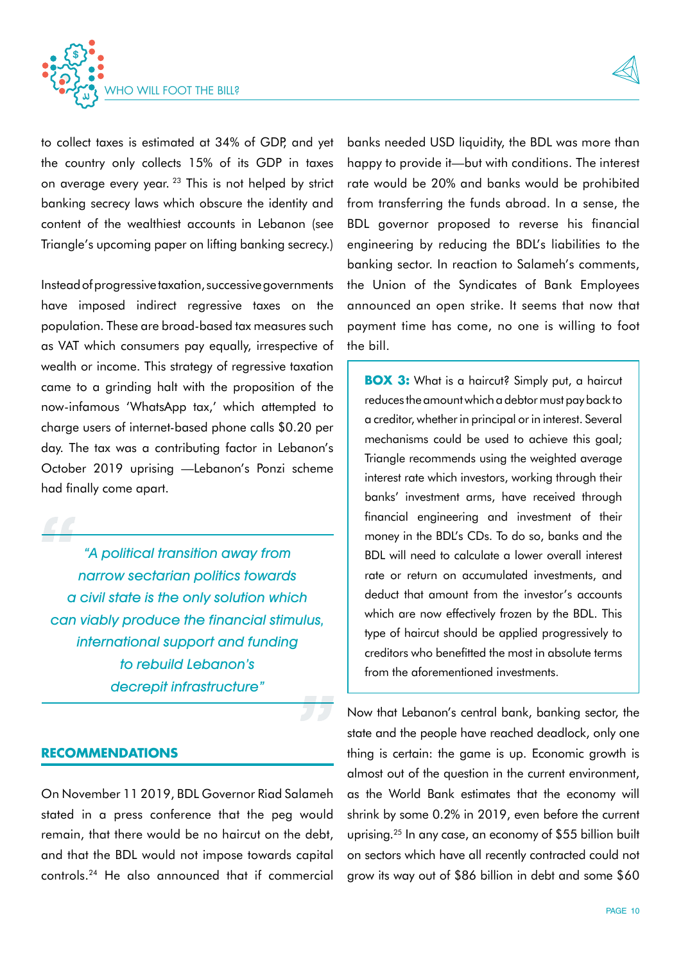



to collect taxes is estimated at 34% of GDP, and yet the country only collects 15% of its GDP in taxes on average every year. 23 This is not helped by strict banking secrecy laws which obscure the identity and content of the wealthiest accounts in Lebanon (see Triangle's upcoming paper on lifting banking secrecy.)

Instead of progressive taxation, successive governments have imposed indirect regressive taxes on the population. These are broad-based tax measures such as VAT which consumers pay equally, irrespective of wealth or income. This strategy of regressive taxation came to a grinding halt with the proposition of the now-infamous 'WhatsApp tax,' which attempted to charge users of internet-based phone calls \$0.20 per day. The tax was a contributing factor in Lebanon's October 2019 uprising —Lebanon's Ponzi scheme had finally come apart.

"A political transition away from narrow sectarian politics towards a civil state is the only solution which can viably produce the financial stimulus, international support and funding to rebuild Lebanon's decrepit infrastructure"

### **RECOMMENDATIONS**

On November 11 2019, BDL Governor Riad Salameh stated in a press conference that the peg would remain, that there would be no haircut on the debt, and that the BDL would not impose towards capital controls.24 He also announced that if commercial

banks needed USD liquidity, the BDL was more than happy to provide it—but with conditions. The interest rate would be 20% and banks would be prohibited from transferring the funds abroad. In a sense, the BDL governor proposed to reverse his financial engineering by reducing the BDL's liabilities to the banking sector. In reaction to Salameh's comments, the Union of the Syndicates of Bank Employees announced an open strike. It seems that now that payment time has come, no one is willing to foot the bill.

**BOX 3:** What is a haircut? Simply put, a haircut reduces the amount which a debtor must pay back to a creditor, whether in principal or in interest. Several mechanisms could be used to achieve this goal; Triangle recommends using the weighted average interest rate which investors, working through their banks' investment arms, have received through financial engineering and investment of their money in the BDL's CDs. To do so, banks and the BDL will need to calculate a lower overall interest rate or return on accumulated investments, and deduct that amount from the investor's accounts which are now effectively frozen by the BDL. This type of haircut should be applied progressively to creditors who benefitted the most in absolute terms from the aforementioned investments.

Now that Lebanon's central bank, banking sector, the state and the people have reached deadlock, only one thing is certain: the game is up. Economic growth is almost out of the question in the current environment, as the World Bank estimates that the economy will shrink by some 0.2% in 2019, even before the current uprising.25 In any case, an economy of \$55 billion built on sectors which have all recently contracted could not grow its way out of \$86 billion in debt and some \$60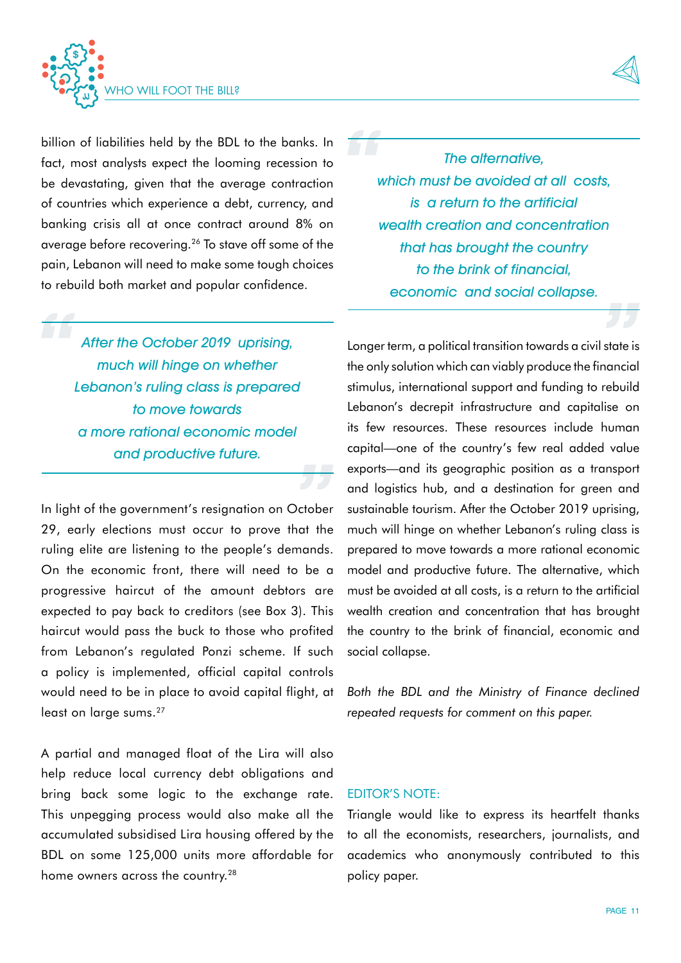

billion of liabilities held by the BDL to the banks. In fact, most analysts expect the looming recession to be devastating, given that the average contraction of countries which experience a debt, currency, and banking crisis all at once contract around 8% on average before recovering.<sup>26</sup> To stave off some of the pain, Lebanon will need to make some tough choices to rebuild both market and popular confidence.

After the October 2019 uprising, much will hinge on whether Lebanon's ruling class is prepared to move towards a more rational economic model and productive future.

In light of the government's resignation on October 29, early elections must occur to prove that the ruling elite are listening to the people's demands. On the economic front, there will need to be a progressive haircut of the amount debtors are expected to pay back to creditors (see Box 3). This haircut would pass the buck to those who profited from Lebanon's regulated Ponzi scheme. If such a policy is implemented, official capital controls would need to be in place to avoid capital flight, at least on large sums.<sup>27</sup>

A partial and managed float of the Lira will also help reduce local currency debt obligations and bring back some logic to the exchange rate. This unpegging process would also make all the accumulated subsidised Lira housing offered by the BDL on some 125,000 units more affordable for home owners across the country.<sup>28</sup>

The alternative. which must be avoided at all costs, is a return to the artificial wealth creation and concentration that has brought the country to the brink of financial, economic and social collapse.

Longer term, a political transition towards a civil state is the only solution which can viably produce the financial stimulus, international support and funding to rebuild Lebanon's decrepit infrastructure and capitalise on its few resources. These resources include human capital—one of the country's few real added value exports—and its geographic position as a transport and logistics hub, and a destination for green and sustainable tourism. After the October 2019 uprising, much will hinge on whether Lebanon's ruling class is prepared to move towards a more rational economic model and productive future. The alternative, which must be avoided at all costs, is a return to the artificial wealth creation and concentration that has brought the country to the brink of financial, economic and social collapse.

*Both the BDL and the Ministry of Finance declined repeated requests for comment on this paper.*

# EDITOR'S NOTE:

Triangle would like to express its heartfelt thanks to all the economists, researchers, journalists, and academics who anonymously contributed to this policy paper.